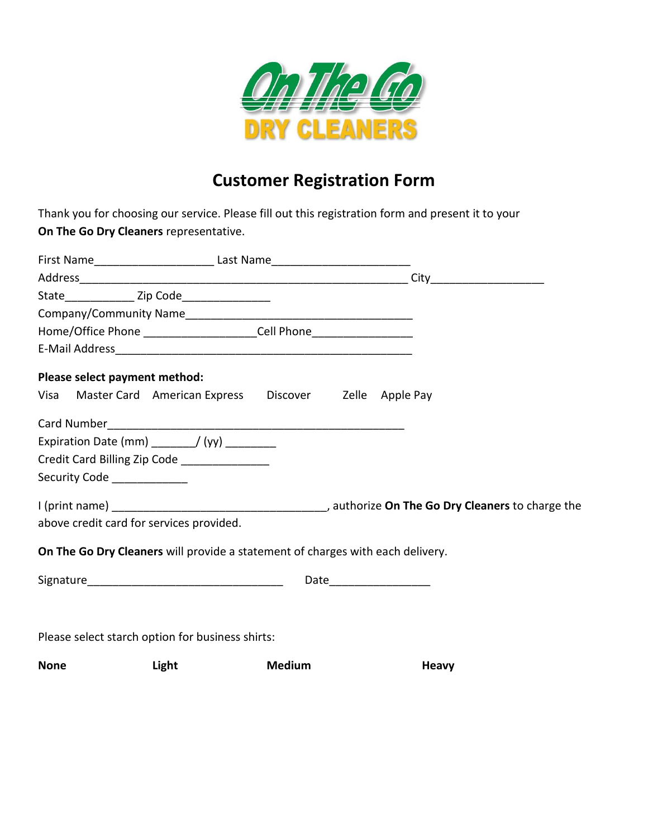

# **Customer Registration Form**

Thank you for choosing our service. Please fill out this registration form and present it to your **On The Go Dry Cleaners** representative.

| First Name_____________________________Last Name________________________________ |               |                          |              |
|----------------------------------------------------------------------------------|---------------|--------------------------|--------------|
|                                                                                  |               |                          |              |
|                                                                                  |               |                          |              |
|                                                                                  |               |                          |              |
| Home/Office Phone ________________________Cell Phone____________________________ |               |                          |              |
|                                                                                  |               |                          |              |
| Please select payment method:                                                    |               |                          |              |
| Visa Master Card American Express Discover Zelle Apple Pay                       |               |                          |              |
|                                                                                  |               |                          |              |
| Expiration Date (mm) $\frac{1}{2}$ (yy) $\frac{1}{2}$                            |               |                          |              |
| Credit Card Billing Zip Code ______________                                      |               |                          |              |
| Security Code ___________                                                        |               |                          |              |
|                                                                                  |               |                          |              |
| above credit card for services provided.                                         |               |                          |              |
| On The Go Dry Cleaners will provide a statement of charges with each delivery.   |               |                          |              |
|                                                                                  |               | Date____________________ |              |
| Please select starch option for business shirts:                                 |               |                          |              |
| <b>None</b><br>Light                                                             | <b>Medium</b> |                          | <b>Heavy</b> |